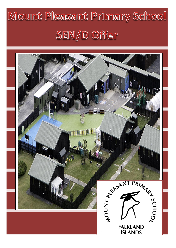# Mount Pleasant Primary School SEN/D Offer

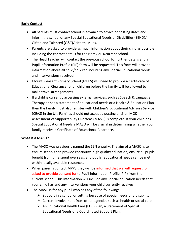## **Early Contact**

- All parents must contact school in advance to advice of posting dates and inform the school of any Special Educational Needs or Disabilities (SEND)/ Gifted and Talented (G&T)/ Health Issues.
- Parents are asked to provide as much information about their child as possible including the contact details for their previous/current school.
- The Head Teacher will contact the previous school for further details and a Pupil Information Profile (PIP) form will be requested. This form will provide information about all child/children including any Special Educational Needs and interventions received.
- Mount Pleasant Primary School (MPPS) will need to provide a Certificate of Educational Clearance for all children before the family will be allowed to make travel arrangements.
- If a child is currently accessing external services, such as Speech & Language Therapy or has a statement of educational needs or a Health & Education Plan then the family must also register with Children's Educational Advisory Service (CEAS) in the UK. Families should not accept a posting until an MOD Assessment of Supportability Overseas (MASO) is complete. If your child has Special Educational Needs a MASO will be crucial in determining whether your family receive a Certificate of Educational Clearance.

## **What is a MASO?**

- The MASO was previously named the SEN enquiry. The aim of a MASO is to ensure schools can provide continuity, high quality education, ensure all pupils benefit from time spent overseas, and pupils' educational needs can be met within locally available resources.
- When parents contact MPPS they will be informed that we will request (or asked to provide consent for) a Pupil Information Profile (PIP) from the current school. This information will include any Special education needs that your child has and any interventions your child currently receives.
- The MASO is for any pupil who has any of the following:
	- $\triangleright$  Support in a school or setting because of special needs or a disability
	- $\triangleright$  Current involvement from other agencies such as health or social care.
	- $\triangleright$  An Educational Health Care (EHC) Plan, a Statement of Special Educational Needs or a Coordinated Support Plan.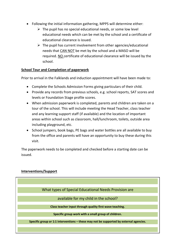- Following the initial information gathering, MPPS will determine either:
	- $\triangleright$  The pupil has no special educational needs, or some low level educational needs which can be met by the school and a certificate of educational clearance is issued.
	- $\triangleright$  The pupil has current involvement from other agencies/educational needs that CAN NOT be met by the school and a MASO will be required. NO certificate of educational clearance will be issued by the school.

## **School Tour and Completion of paperwork**

Prior to arrival in the Falklands and induction appointment will have been made to:

- Complete the Schools Admission Forms giving particulars of their child.
- Provide any records from previous schools, e.g. school reports, SAT scores and levels or Foundation Stage profile scores.
- When admission paperwork is completed, parents and children are taken on a tour of the school. This will include meeting the Head Teacher, class teacher and any learning support staff (if available) and the location of important areas within school such as classroom, hall/lunchroom, toilets, outside area including playground, etc.
- School jumpers, book bags, PE bags and water bottles are all available to buy from the office and parents will have an opportunity to buy these during this visit.

The paperwork needs to be completed and checked before a starting date can be issued.

# **Interventions/Support**

What types of Special Educational Needs Provision are

available for my child in the school?

**Class teacher input through quality first wave teaching.**

**Specific group work with a small group of children.**

Specific group or 1:1 interventions – these may not be supported by external agencies.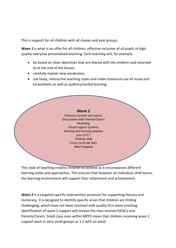This is support for all children with all classes and year groups.

*Wave 1* is what is on offer for all children: effective inclusion of all pupils in highquality everyday personalised teaching. Such teaching will, for example,

- be based on clear objectives that are shared with the children and returned to at the end of the lesson;
- carefully explain new vocabulary;
- use lively, interactive teaching styles and make maximum use of visual and kinaesthetic as well as auditory/verbal learning.



This style of teaching enables children to achieve as it encompasses different learning styles and approaches. This ensures that however an individual child learns, the learning environment will support their attainment and achievement.

*Wave 2* is a targeted specific intervention provision for supporting literacy and numeracy. It is designed to identify specific areas that children are finding challenging, which have not been resolved with quality first wave teaching. Identification of wave 2 support will involve the class teacher/SENCo and Parents/Carers. Small class sizes within MPPS mean that children receiving wave 2 support work in very small groups or 1:1 with an adult.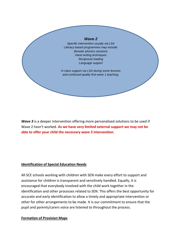#### *Wave 2*

*Specific intervention usually via LSA Literacy based programmes may include: Booster phonics sessions Hand writing techniques Reciprocal reading Language support*

*In class support via LSA during some lessons and continued quality first wave 1 teaching.*

Wave 3 is a deeper intervention offering more personalised solutions to be used if Wave 2 hasn't worked. **As we have very limited external support we may not be able to offer your child the necessary wave 3 intervention.**

## **Identification of Special Education Needs**

All SCE schools working with children with SEN make every effort to support and assistance for children is transparent and sensitively handled. Equally, it is encouraged that everybody involved with the child work together in the identification and other processes related to SEN. This offers the best opportunity for accurate and early identification to allow a timely and appropriate intervention or other for other arrangements to be made. It is our commitment to ensure that the pupil and parents/carers voice are listened to throughout the process.

## **Formation of Provision Maps**